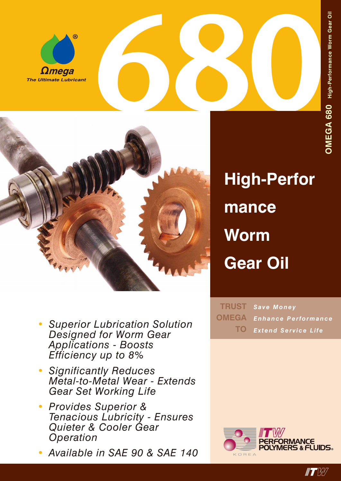

*•*



- **High-Perfor mance Worm Gear Oil**
- *Save Money Enhance Performance Extend Service Life* **TRUST OMEGA TO**
- *• Applications - Boosts Efficiency up to 8% Significantly Reduces Metal-to-Metal Wear - Extends Gear Set Working Life*

*Designed for Worm Gear* 

*Superior Lubrication Solution* 

- *• Provides Superior & Tenacious Lubricity - Ensures Quieter & Cooler Gear Operation*
- *• Available in SAE 90 & SAE 140*



 $\blacksquare$